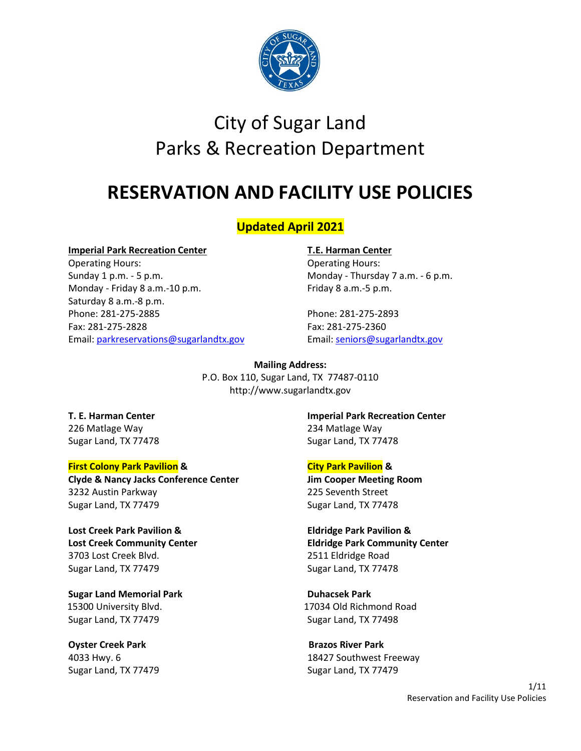

# City of Sugar Land Parks & Recreation Department

# **RESERVATION AND FACILITY USE POLICIES**

# **Updated April 2021**

#### **Imperial Park Recreation Center T.E. Harman Center**

Operating Hours: Operating Hours: Sunday 1 p.m. - 5 p.m. Cases and the Monday - Thursday 7 a.m. - 6 p.m. Monday - Friday 8 a.m.-10 p.m. Friday 8 a.m.-5 p.m. Saturday 8 a.m.-8 p.m. Phone: 281-275-2885 Phone: 281-275-2893 Fax: 281-275-2828 Fax: 281-275-2360 Email: [parkreservations@sugarlandtx.gov](mailto:parkreservations@sugarlandtx.gov) Email: [seniors@sugarlandtx.gov](mailto:seniors@sugarlandtx.gov)

**Mailing Address:** P.O. Box 110, Sugar Land, TX 77487-0110 http://www.sugarlandtx.gov

226 Matlage Way 234 Matlage Way Sugar Land, TX 77478 Sugar Land, TX 77478

#### **First Colony Park Pavilion & City Park Pavilion &**

**Clyde & Nancy Jacks Conference Center Jim Cooper Meeting Room** 3232 Austin Parkway 225 Seventh Street Sugar Land, TX 77479 Sugar Land, TX 77478

**Lost Creek Park Pavilion & Eldridge Park Pavilion &** 3703 Lost Creek Blvd. 2511 Eldridge Road Sugar Land, TX 77479 Sugar Land, TX 77478

**Sugar Land Memorial Park Duhacsek Park** Sugar Land, TX 77479 Sugar Land, TX 77498

**Oyster Creek Park Area Access Park Brazos River Park** Sugar Land, TX 77479 Sugar Land, TX 77479

**T. E. Harman Center Imperial Park Recreation Center**

**Lost Creek Community Center Eldridge Park Community Center**

15300 University Blvd. 17034 Old Richmond Road

4033 Hwy. 6 18427 Southwest Freeway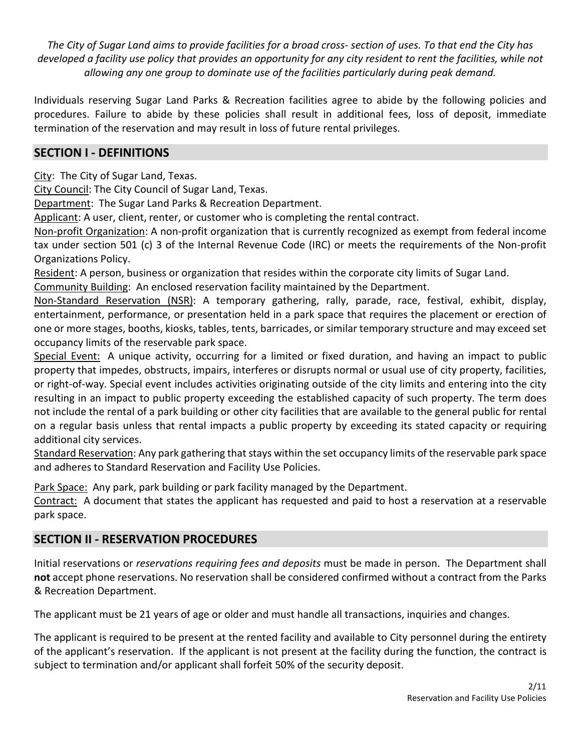*The City of Sugar Land aims to provide facilities for a broad cross- section of uses. To that end the City has*  developed a facility use policy that provides an opportunity for any city resident to rent the facilities, while not *allowing any one group to dominate use of the facilities particularly during peak demand.*

Individuals reserving Sugar Land Parks & Recreation facilities agree to abide by the following policies and procedures. Failure to abide by these policies shall result in additional fees, loss of deposit, immediate termination of the reservation and may result in loss of future rental privileges.

# **SECTION I - DEFINITIONS**

City: The City of Sugar Land, Texas.

City Council: The City Council of Sugar Land, Texas.

Department: The Sugar Land Parks & Recreation Department.

Applicant: A user, client, renter, or customer who is completing the rental contract.

Non-profit Organization: A non-profit organization that is currently recognized as exempt from federal income tax under section 501 (c) 3 of the Internal Revenue Code (IRC) or meets the requirements of the Non-profit Organizations Policy.

Resident: A person, business or organization that resides within the corporate city limits of Sugar Land.

Community Building: An enclosed reservation facility maintained by the Department.

Non-Standard Reservation (NSR): A temporary gathering, rally, parade, race, festival, exhibit, display, entertainment, performance, or presentation held in a park space that requires the placement or erection of one or more stages, booths, kiosks, tables, tents, barricades, or similar temporary structure and may exceed set occupancy limits of the reservable park space.

Special Event: A unique activity, occurring for a limited or fixed duration, and having an impact to public property that impedes, obstructs, impairs, interferes or disrupts normal or usual use of city property, facilities, or right-of-way. Special event includes activities originating outside of the city limits and entering into the city resulting in an impact to public property exceeding the established capacity of such property. The term does not include the rental of a park building or other city facilities that are available to the general public for rental on a regular basis unless that rental impacts a public property by exceeding its stated capacity or requiring additional city services.

Standard Reservation: Any park gathering that stays within the set occupancy limits of the reservable park space and adheres to Standard Reservation and Facility Use Policies.

Park Space: Any park, park building or park facility managed by the Department.

Contract: A document that states the applicant has requested and paid to host a reservation at a reservable park space.

# **SECTION II - RESERVATION PROCEDURES**

Initial reservations or *reservations requiring fees and deposits* must be made in person. The Department shall **not** accept phone reservations. No reservation shall be considered confirmed without a contract from the Parks & Recreation Department.

The applicant must be 21 years of age or older and must handle all transactions, inquiries and changes.

The applicant is required to be present at the rented facility and available to City personnel during the entirety of the applicant's reservation. If the applicant is not present at the facility during the function, the contract is subject to termination and/or applicant shall forfeit 50% of the security deposit.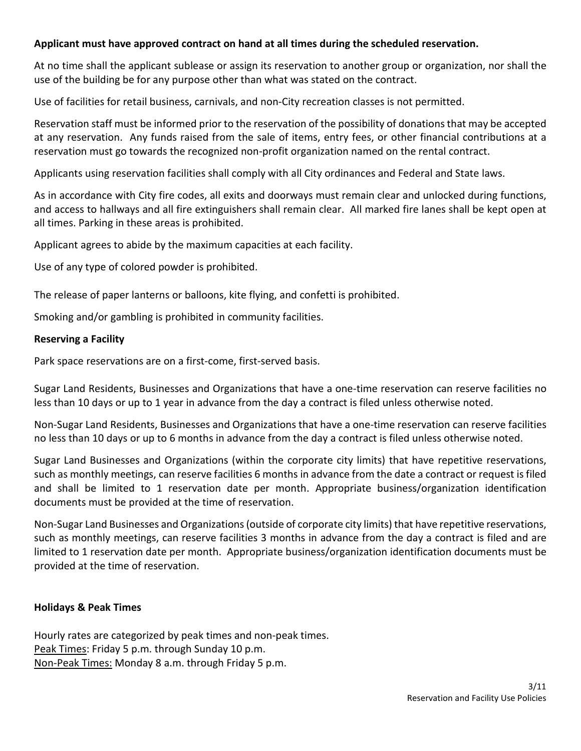#### **Applicant must have approved contract on hand at all times during the scheduled reservation.**

At no time shall the applicant sublease or assign its reservation to another group or organization, nor shall the use of the building be for any purpose other than what was stated on the contract.

Use of facilities for retail business, carnivals, and non-City recreation classes is not permitted.

Reservation staff must be informed prior to the reservation of the possibility of donations that may be accepted at any reservation. Any funds raised from the sale of items, entry fees, or other financial contributions at a reservation must go towards the recognized non-profit organization named on the rental contract.

Applicants using reservation facilities shall comply with all City ordinances and Federal and State laws.

As in accordance with City fire codes, all exits and doorways must remain clear and unlocked during functions, and access to hallways and all fire extinguishers shall remain clear. All marked fire lanes shall be kept open at all times. Parking in these areas is prohibited.

Applicant agrees to abide by the maximum capacities at each facility.

Use of any type of colored powder is prohibited.

The release of paper lanterns or balloons, kite flying, and confetti is prohibited.

Smoking and/or gambling is prohibited in community facilities.

#### **Reserving a Facility**

Park space reservations are on a first-come, first-served basis.

Sugar Land Residents, Businesses and Organizations that have a one-time reservation can reserve facilities no less than 10 days or up to 1 year in advance from the day a contract is filed unless otherwise noted.

Non-Sugar Land Residents, Businesses and Organizations that have a one-time reservation can reserve facilities no less than 10 days or up to 6 months in advance from the day a contract is filed unless otherwise noted.

Sugar Land Businesses and Organizations (within the corporate city limits) that have repetitive reservations, such as monthly meetings, can reserve facilities 6 months in advance from the date a contract or request is filed and shall be limited to 1 reservation date per month. Appropriate business/organization identification documents must be provided at the time of reservation.

Non-Sugar Land Businesses and Organizations(outside of corporate city limits) that have repetitive reservations, such as monthly meetings, can reserve facilities 3 months in advance from the day a contract is filed and are limited to 1 reservation date per month. Appropriate business/organization identification documents must be provided at the time of reservation.

#### **Holidays & Peak Times**

Hourly rates are categorized by peak times and non-peak times. Peak Times: Friday 5 p.m. through Sunday 10 p.m. Non-Peak Times: Monday 8 a.m. through Friday 5 p.m.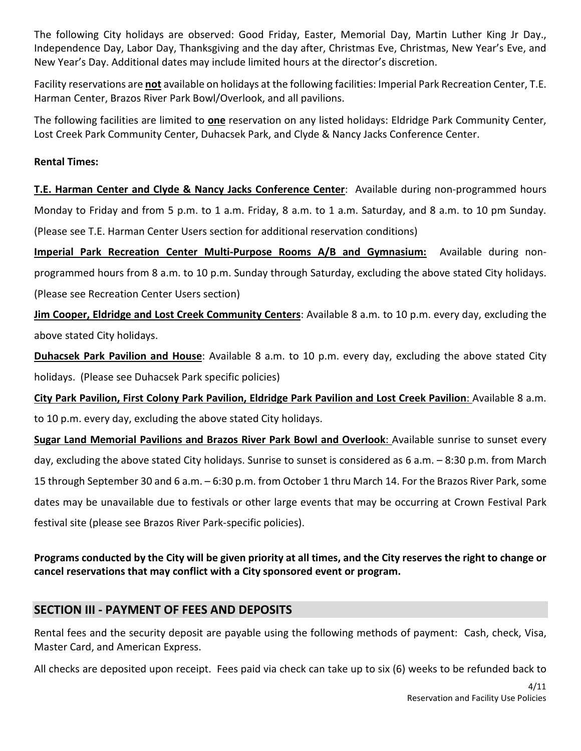The following City holidays are observed: Good Friday, Easter, Memorial Day, Martin Luther King Jr Day., Independence Day, Labor Day, Thanksgiving and the day after, Christmas Eve, Christmas, New Year's Eve, and New Year's Day. Additional dates may include limited hours at the director's discretion.

Facility reservations are **not** available on holidays at the following facilities: Imperial Park Recreation Center, T.E. Harman Center, Brazos River Park Bowl/Overlook, and all pavilions.

The following facilities are limited to **one** reservation on any listed holidays: Eldridge Park Community Center, Lost Creek Park Community Center, Duhacsek Park, and Clyde & Nancy Jacks Conference Center.

#### **Rental Times:**

**T.E. Harman Center and Clyde & Nancy Jacks Conference Center**: Available during non-programmed hours Monday to Friday and from 5 p.m. to 1 a.m. Friday, 8 a.m. to 1 a.m. Saturday, and 8 a.m. to 10 pm Sunday. (Please see T.E. Harman Center Users section for additional reservation conditions)

**Imperial Park Recreation Center Multi-Purpose Rooms A/B and Gymnasium:** Available during nonprogrammed hours from 8 a.m. to 10 p.m. Sunday through Saturday, excluding the above stated City holidays. (Please see Recreation Center Users section)

**Jim Cooper, Eldridge and Lost Creek Community Centers**: Available 8 a.m. to 10 p.m. every day, excluding the above stated City holidays.

**Duhacsek Park Pavilion and House**: Available 8 a.m. to 10 p.m. every day, excluding the above stated City holidays. (Please see Duhacsek Park specific policies)

**City Park Pavilion, First Colony Park Pavilion, Eldridge Park Pavilion and Lost Creek Pavilion**: Available 8 a.m. to 10 p.m. every day, excluding the above stated City holidays.

**Sugar Land Memorial Pavilions and Brazos River Park Bowl and Overlook**: Available sunrise to sunset every day, excluding the above stated City holidays. Sunrise to sunset is considered as 6 a.m. – 8:30 p.m. from March 15 through September 30 and 6 a.m. – 6:30 p.m. from October 1 thru March 14. For the Brazos River Park, some dates may be unavailable due to festivals or other large events that may be occurring at Crown Festival Park festival site (please see Brazos River Park-specific policies).

# **Programs conducted by the City will be given priority at all times, and the City reserves the right to change or cancel reservations that may conflict with a City sponsored event or program.**

# **SECTION III - PAYMENT OF FEES AND DEPOSITS**

Rental fees and the security deposit are payable using the following methods of payment: Cash, check, Visa, Master Card, and American Express.

All checks are deposited upon receipt. Fees paid via check can take up to six (6) weeks to be refunded back to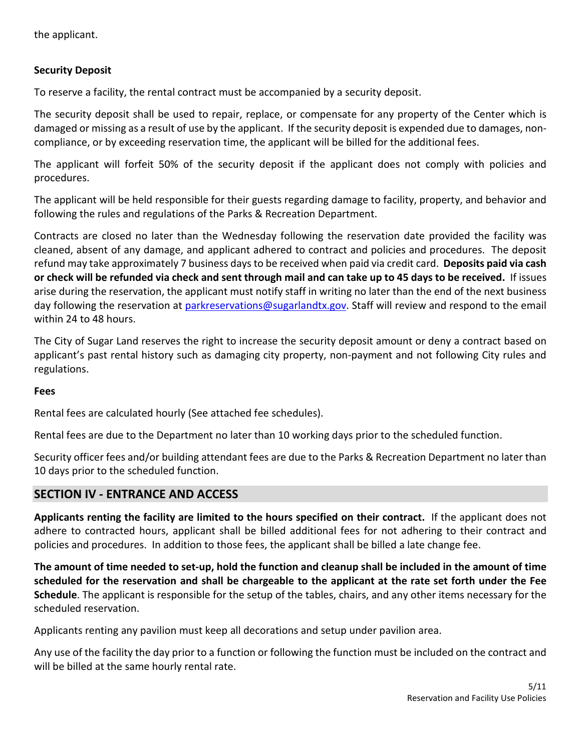the applicant.

#### **Security Deposit**

To reserve a facility, the rental contract must be accompanied by a security deposit.

The security deposit shall be used to repair, replace, or compensate for any property of the Center which is damaged or missing as a result of use by the applicant. If the security deposit is expended due to damages, noncompliance, or by exceeding reservation time, the applicant will be billed for the additional fees.

The applicant will forfeit 50% of the security deposit if the applicant does not comply with policies and procedures.

The applicant will be held responsible for their guests regarding damage to facility, property, and behavior and following the rules and regulations of the Parks & Recreation Department.

Contracts are closed no later than the Wednesday following the reservation date provided the facility was cleaned, absent of any damage, and applicant adhered to contract and policies and procedures. The deposit refund may take approximately 7 business days to be received when paid via credit card. **Deposits paid via cash or check will be refunded via check and sent through mail and can take up to 45 days to be received.** If issues arise during the reservation, the applicant must notify staff in writing no later than the end of the next business day following the reservation at [parkreservations@sugarlandtx.gov.](mailto:parkreservations@sugarlandtx.gov) Staff will review and respond to the email within 24 to 48 hours.

The City of Sugar Land reserves the right to increase the security deposit amount or deny a contract based on applicant's past rental history such as damaging city property, non-payment and not following City rules and regulations.

#### **Fees**

Rental fees are calculated hourly (See attached fee schedules).

Rental fees are due to the Department no later than 10 working days prior to the scheduled function.

Security officer fees and/or building attendant fees are due to the Parks & Recreation Department no later than 10 days prior to the scheduled function.

### **SECTION IV - ENTRANCE AND ACCESS**

**Applicants renting the facility are limited to the hours specified on their contract.** If the applicant does not adhere to contracted hours, applicant shall be billed additional fees for not adhering to their contract and policies and procedures. In addition to those fees, the applicant shall be billed a late change fee.

**The amount of time needed to set-up, hold the function and cleanup shall be included in the amount of time scheduled for the reservation and shall be chargeable to the applicant at the rate set forth under the Fee Schedule**. The applicant is responsible for the setup of the tables, chairs, and any other items necessary for the scheduled reservation.

Applicants renting any pavilion must keep all decorations and setup under pavilion area.

Any use of the facility the day prior to a function or following the function must be included on the contract and will be billed at the same hourly rental rate.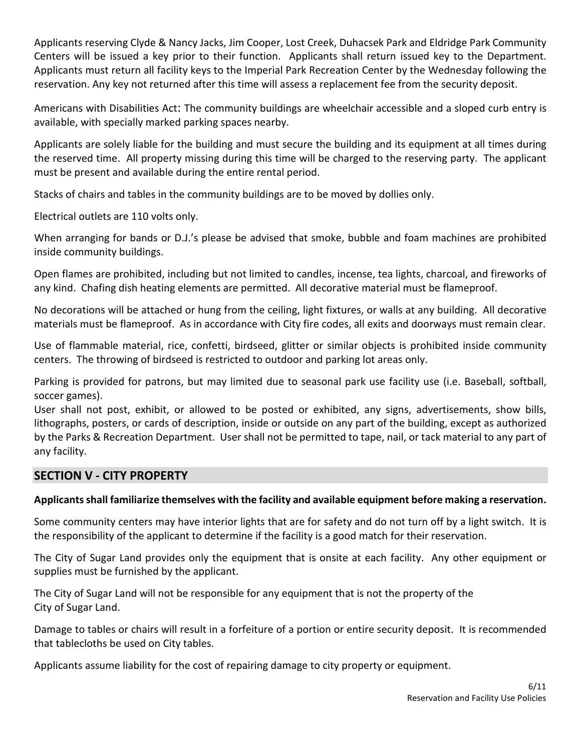Applicants reserving Clyde & Nancy Jacks, Jim Cooper, Lost Creek, Duhacsek Park and Eldridge Park Community Centers will be issued a key prior to their function. Applicants shall return issued key to the Department. Applicants must return all facility keys to the Imperial Park Recreation Center by the Wednesday following the reservation. Any key not returned after this time will assess a replacement fee from the security deposit.

Americans with Disabilities Act: The community buildings are wheelchair accessible and a sloped curb entry is available, with specially marked parking spaces nearby.

Applicants are solely liable for the building and must secure the building and its equipment at all times during the reserved time. All property missing during this time will be charged to the reserving party. The applicant must be present and available during the entire rental period.

Stacks of chairs and tables in the community buildings are to be moved by dollies only.

Electrical outlets are 110 volts only.

When arranging for bands or D.J.'s please be advised that smoke, bubble and foam machines are prohibited inside community buildings.

Open flames are prohibited, including but not limited to candles, incense, tea lights, charcoal, and fireworks of any kind. Chafing dish heating elements are permitted. All decorative material must be flameproof.

No decorations will be attached or hung from the ceiling, light fixtures, or walls at any building. All decorative materials must be flameproof. As in accordance with City fire codes, all exits and doorways must remain clear.

Use of flammable material, rice, confetti, birdseed, glitter or similar objects is prohibited inside community centers. The throwing of birdseed is restricted to outdoor and parking lot areas only.

Parking is provided for patrons, but may limited due to seasonal park use facility use (i.e. Baseball, softball, soccer games).

User shall not post, exhibit, or allowed to be posted or exhibited, any signs, advertisements, show bills, lithographs, posters, or cards of description, inside or outside on any part of the building, except as authorized by the Parks & Recreation Department. User shall not be permitted to tape, nail, or tack material to any part of any facility.

# **SECTION V - CITY PROPERTY**

# **Applicants shall familiarize themselves with the facility and available equipment before making a reservation.**

Some community centers may have interior lights that are for safety and do not turn off by a light switch. It is the responsibility of the applicant to determine if the facility is a good match for their reservation.

The City of Sugar Land provides only the equipment that is onsite at each facility. Any other equipment or supplies must be furnished by the applicant.

The City of Sugar Land will not be responsible for any equipment that is not the property of the City of Sugar Land.

Damage to tables or chairs will result in a forfeiture of a portion or entire security deposit. It is recommended that tablecloths be used on City tables.

Applicants assume liability for the cost of repairing damage to city property or equipment.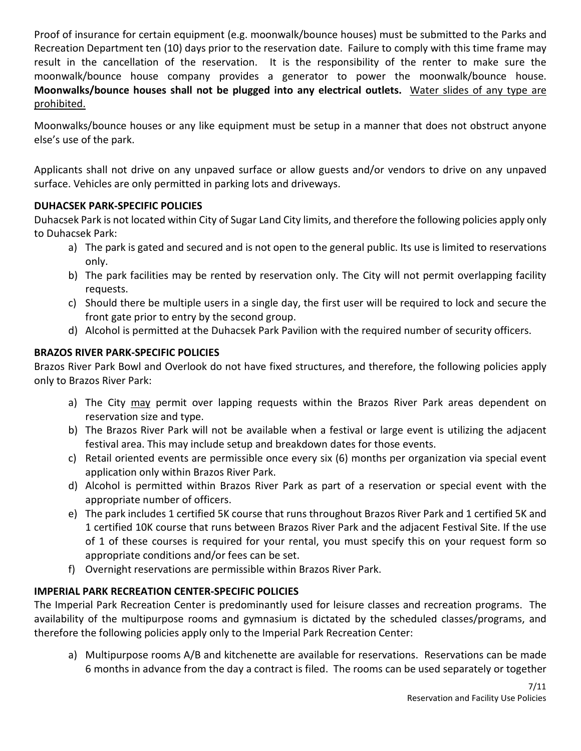Proof of insurance for certain equipment (e.g. moonwalk/bounce houses) must be submitted to the Parks and Recreation Department ten (10) days prior to the reservation date. Failure to comply with this time frame may result in the cancellation of the reservation. It is the responsibility of the renter to make sure the moonwalk/bounce house company provides a generator to power the moonwalk/bounce house. **Moonwalks/bounce houses shall not be plugged into any electrical outlets.** Water slides of any type are prohibited.

Moonwalks/bounce houses or any like equipment must be setup in a manner that does not obstruct anyone else's use of the park.

Applicants shall not drive on any unpaved surface or allow guests and/or vendors to drive on any unpaved surface. Vehicles are only permitted in parking lots and driveways.

# **DUHACSEK PARK-SPECIFIC POLICIES**

Duhacsek Park is not located within City of Sugar Land City limits, and therefore the following policies apply only to Duhacsek Park:

- a) The park is gated and secured and is not open to the general public. Its use is limited to reservations only.
- b) The park facilities may be rented by reservation only. The City will not permit overlapping facility requests.
- c) Should there be multiple users in a single day, the first user will be required to lock and secure the front gate prior to entry by the second group.
- d) Alcohol is permitted at the Duhacsek Park Pavilion with the required number of security officers.

# **BRAZOS RIVER PARK-SPECIFIC POLICIES**

Brazos River Park Bowl and Overlook do not have fixed structures, and therefore, the following policies apply only to Brazos River Park:

- a) The City may permit over lapping requests within the Brazos River Park areas dependent on reservation size and type.
- b) The Brazos River Park will not be available when a festival or large event is utilizing the adjacent festival area. This may include setup and breakdown dates for those events.
- c) Retail oriented events are permissible once every six (6) months per organization via special event application only within Brazos River Park.
- d) Alcohol is permitted within Brazos River Park as part of a reservation or special event with the appropriate number of officers.
- e) The park includes 1 certified 5K course that runs throughout Brazos River Park and 1 certified 5K and 1 certified 10K course that runs between Brazos River Park and the adjacent Festival Site. If the use of 1 of these courses is required for your rental, you must specify this on your request form so appropriate conditions and/or fees can be set.
- f) Overnight reservations are permissible within Brazos River Park.

# **IMPERIAL PARK RECREATION CENTER-SPECIFIC POLICIES**

The Imperial Park Recreation Center is predominantly used for leisure classes and recreation programs. The availability of the multipurpose rooms and gymnasium is dictated by the scheduled classes/programs, and therefore the following policies apply only to the Imperial Park Recreation Center:

a) Multipurpose rooms A/B and kitchenette are available for reservations. Reservations can be made 6 months in advance from the day a contract is filed. The rooms can be used separately or together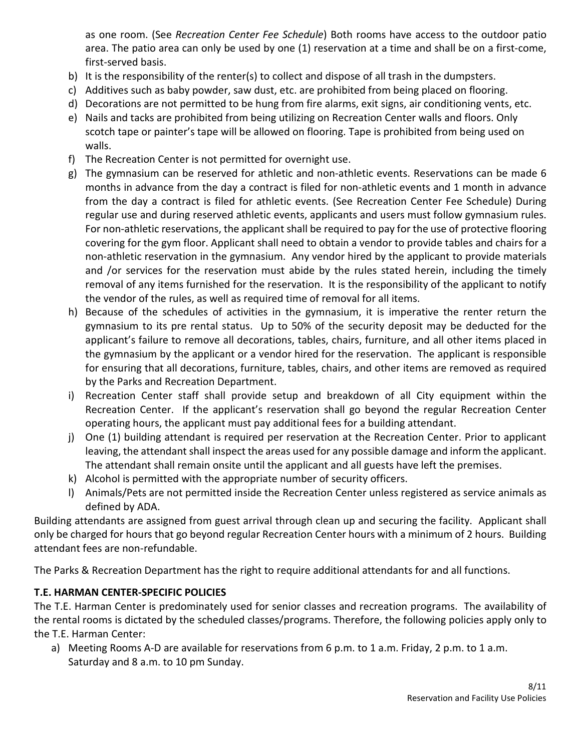as one room. (See *Recreation Center Fee Schedule*) Both rooms have access to the outdoor patio area. The patio area can only be used by one (1) reservation at a time and shall be on a first-come, first-served basis.

- b) It is the responsibility of the renter(s) to collect and dispose of all trash in the dumpsters.
- c) Additives such as baby powder, saw dust, etc. are prohibited from being placed on flooring.
- d) Decorations are not permitted to be hung from fire alarms, exit signs, air conditioning vents, etc.
- e) Nails and tacks are prohibited from being utilizing on Recreation Center walls and floors. Only scotch tape or painter's tape will be allowed on flooring. Tape is prohibited from being used on walls.
- f) The Recreation Center is not permitted for overnight use.
- g) The gymnasium can be reserved for athletic and non-athletic events. Reservations can be made 6 months in advance from the day a contract is filed for non-athletic events and 1 month in advance from the day a contract is filed for athletic events. (See Recreation Center Fee Schedule) During regular use and during reserved athletic events, applicants and users must follow gymnasium rules. For non-athletic reservations, the applicant shall be required to pay for the use of protective flooring covering for the gym floor. Applicant shall need to obtain a vendor to provide tables and chairs for a non-athletic reservation in the gymnasium. Any vendor hired by the applicant to provide materials and /or services for the reservation must abide by the rules stated herein, including the timely removal of any items furnished for the reservation. It is the responsibility of the applicant to notify the vendor of the rules, as well as required time of removal for all items.
- h) Because of the schedules of activities in the gymnasium, it is imperative the renter return the gymnasium to its pre rental status. Up to 50% of the security deposit may be deducted for the applicant's failure to remove all decorations, tables, chairs, furniture, and all other items placed in the gymnasium by the applicant or a vendor hired for the reservation. The applicant is responsible for ensuring that all decorations, furniture, tables, chairs, and other items are removed as required by the Parks and Recreation Department.
- i) Recreation Center staff shall provide setup and breakdown of all City equipment within the Recreation Center. If the applicant's reservation shall go beyond the regular Recreation Center operating hours, the applicant must pay additional fees for a building attendant.
- j) One (1) building attendant is required per reservation at the Recreation Center. Prior to applicant leaving, the attendant shall inspect the areas used for any possible damage and inform the applicant. The attendant shall remain onsite until the applicant and all guests have left the premises.
- k) Alcohol is permitted with the appropriate number of security officers.
- l) Animals/Pets are not permitted inside the Recreation Center unless registered as service animals as defined by ADA.

Building attendants are assigned from guest arrival through clean up and securing the facility. Applicant shall only be charged for hours that go beyond regular Recreation Center hours with a minimum of 2 hours. Building attendant fees are non-refundable.

The Parks & Recreation Department has the right to require additional attendants for and all functions.

# **T.E. HARMAN CENTER-SPECIFIC POLICIES**

The T.E. Harman Center is predominately used for senior classes and recreation programs. The availability of the rental rooms is dictated by the scheduled classes/programs. Therefore, the following policies apply only to the T.E. Harman Center:

a) Meeting Rooms A-D are available for reservations from 6 p.m. to 1 a.m. Friday, 2 p.m. to 1 a.m. Saturday and 8 a.m. to 10 pm Sunday.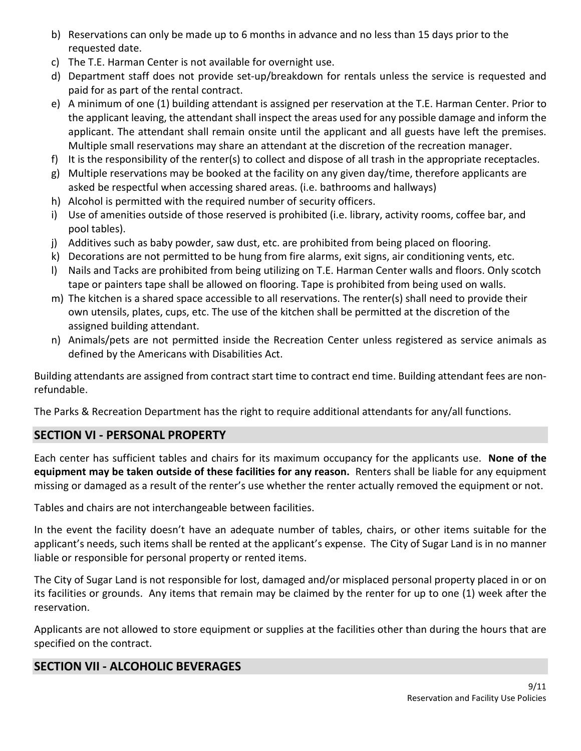- b) Reservations can only be made up to 6 months in advance and no less than 15 days prior to the requested date.
- c) The T.E. Harman Center is not available for overnight use.
- d) Department staff does not provide set-up/breakdown for rentals unless the service is requested and paid for as part of the rental contract.
- e) A minimum of one (1) building attendant is assigned per reservation at the T.E. Harman Center. Prior to the applicant leaving, the attendant shall inspect the areas used for any possible damage and inform the applicant. The attendant shall remain onsite until the applicant and all guests have left the premises. Multiple small reservations may share an attendant at the discretion of the recreation manager.
- f) It is the responsibility of the renter(s) to collect and dispose of all trash in the appropriate receptacles.
- g) Multiple reservations may be booked at the facility on any given day/time, therefore applicants are asked be respectful when accessing shared areas. (i.e. bathrooms and hallways)
- h) Alcohol is permitted with the required number of security officers.
- i) Use of amenities outside of those reserved is prohibited (i.e. library, activity rooms, coffee bar, and pool tables).
- j) Additives such as baby powder, saw dust, etc. are prohibited from being placed on flooring.
- k) Decorations are not permitted to be hung from fire alarms, exit signs, air conditioning vents, etc.
- l) Nails and Tacks are prohibited from being utilizing on T.E. Harman Center walls and floors. Only scotch tape or painters tape shall be allowed on flooring. Tape is prohibited from being used on walls.
- m) The kitchen is a shared space accessible to all reservations. The renter(s) shall need to provide their own utensils, plates, cups, etc. The use of the kitchen shall be permitted at the discretion of the assigned building attendant.
- n) Animals/pets are not permitted inside the Recreation Center unless registered as service animals as defined by the Americans with Disabilities Act.

Building attendants are assigned from contract start time to contract end time. Building attendant fees are nonrefundable.

The Parks & Recreation Department has the right to require additional attendants for any/all functions.

# **SECTION VI - PERSONAL PROPERTY**

Each center has sufficient tables and chairs for its maximum occupancy for the applicants use. **None of the equipment may be taken outside of these facilities for any reason.** Renters shall be liable for any equipment missing or damaged as a result of the renter's use whether the renter actually removed the equipment or not.

Tables and chairs are not interchangeable between facilities.

In the event the facility doesn't have an adequate number of tables, chairs, or other items suitable for the applicant's needs, such items shall be rented at the applicant's expense. The City of Sugar Land is in no manner liable or responsible for personal property or rented items.

The City of Sugar Land is not responsible for lost, damaged and/or misplaced personal property placed in or on its facilities or grounds. Any items that remain may be claimed by the renter for up to one (1) week after the reservation.

Applicants are not allowed to store equipment or supplies at the facilities other than during the hours that are specified on the contract.

# **SECTION VII - ALCOHOLIC BEVERAGES**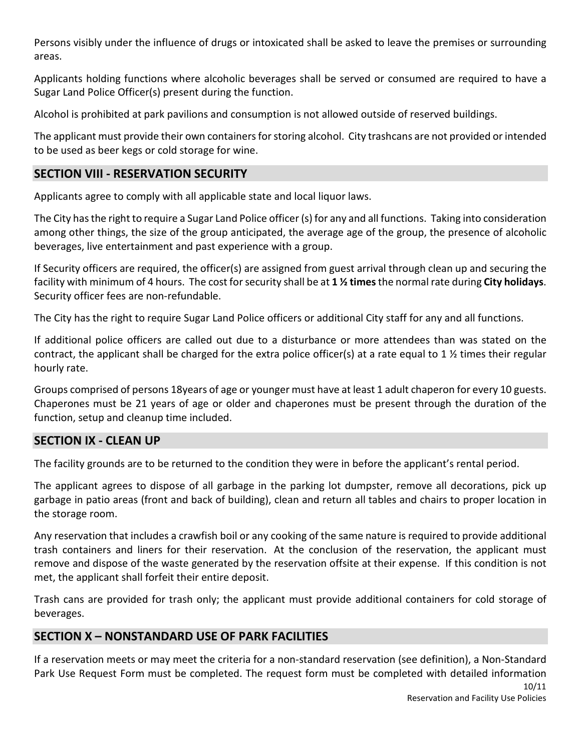Persons visibly under the influence of drugs or intoxicated shall be asked to leave the premises or surrounding areas.

Applicants holding functions where alcoholic beverages shall be served or consumed are required to have a Sugar Land Police Officer(s) present during the function.

Alcohol is prohibited at park pavilions and consumption is not allowed outside of reserved buildings.

The applicant must provide their own containers for storing alcohol. City trashcans are not provided or intended to be used as beer kegs or cold storage for wine.

# **SECTION VIII - RESERVATION SECURITY**

Applicants agree to comply with all applicable state and local liquor laws.

The City has the right to require a Sugar Land Police officer (s) for any and all functions. Taking into consideration among other things, the size of the group anticipated, the average age of the group, the presence of alcoholic beverages, live entertainment and past experience with a group.

If Security officers are required, the officer(s) are assigned from guest arrival through clean up and securing the facility with minimum of 4 hours. The cost for security shall be at **1 ½ times**the normal rate during **City holidays**. Security officer fees are non-refundable.

The City has the right to require Sugar Land Police officers or additional City staff for any and all functions.

If additional police officers are called out due to a disturbance or more attendees than was stated on the contract, the applicant shall be charged for the extra police officer(s) at a rate equal to 1 ½ times their regular hourly rate.

Groups comprised of persons 18years of age or younger must have at least 1 adult chaperon for every 10 guests. Chaperones must be 21 years of age or older and chaperones must be present through the duration of the function, setup and cleanup time included.

# **SECTION IX - CLEAN UP**

The facility grounds are to be returned to the condition they were in before the applicant's rental period.

The applicant agrees to dispose of all garbage in the parking lot dumpster, remove all decorations, pick up garbage in patio areas (front and back of building), clean and return all tables and chairs to proper location in the storage room.

Any reservation that includes a crawfish boil or any cooking of the same nature is required to provide additional trash containers and liners for their reservation. At the conclusion of the reservation, the applicant must remove and dispose of the waste generated by the reservation offsite at their expense. If this condition is not met, the applicant shall forfeit their entire deposit.

Trash cans are provided for trash only; the applicant must provide additional containers for cold storage of beverages.

# **SECTION X – NONSTANDARD USE OF PARK FACILITIES**

If a reservation meets or may meet the criteria for a non-standard reservation (see definition), a Non-Standard Park Use Request Form must be completed. The request form must be completed with detailed information